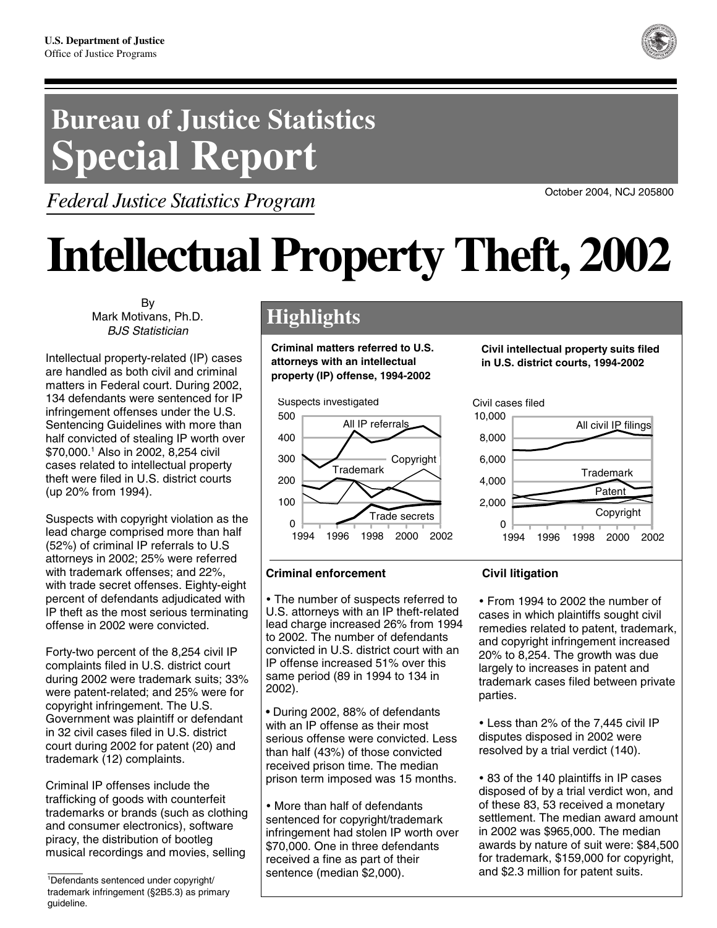# **Bureau of Justice Statistics Special Report**

*Federal Justice Statistics Program*



# **Intellectual Property Theft, 2002**

By Mark Motivans, Ph.D. BJS Statistician

Intellectual property-related (IP) cases are handled as both civil and criminal matters in Federal court. During 2002, 134 defendants were sentenced for IP infringement offenses under the U.S. Sentencing Guidelines with more than half convicted of stealing IP worth over \$70,000.1 Also in 2002, 8,254 civil cases related to intellectual property theft were filed in U.S. district courts (up 20% from 1994).

Suspects with copyright violation as the lead charge comprised more than half (52%) of criminal IP referrals to U.S attorneys in 2002; 25% were referred with trademark offenses; and 22%, with trade secret offenses. Eighty-eight percent of defendants adjudicated with IP theft as the most serious terminating offense in 2002 were convicted.

Forty-two percent of the 8,254 civil IP complaints filed in U.S. district court during 2002 were trademark suits; 33% were patent-related; and 25% were for copyright infringement. The U.S. Government was plaintiff or defendant in 32 civil cases filed in U.S. district court during 2002 for patent (20) and trademark (12) complaints.

Criminal IP offenses include the trafficking of goods with counterfeit trademarks or brands (such as clothing and consumer electronics), software piracy, the distribution of bootleg musical recordings and movies, selling

# **Highlights**

**Criminal matters referred to U.S. attorneys with an intellectual property (IP) offense, 1994-2002**



# **Civil intellectual property suits filed in U.S. district courts, 1994-2002**

# Civil cases filed



# **Criminal enforcement**

• The number of suspects referred to U.S. attorneys with an IP theft-related lead charge increased 26% from 1994 to 2002. The number of defendants convicted in U.S. district court with an IP offense increased 51% over this same period (89 in 1994 to 134 in 2002).

• During 2002, 88% of defendants with an IP offense as their most serious offense were convicted. Less than half (43%) of those convicted received prison time. The median prison term imposed was 15 months.

• More than half of defendants sentenced for copyright/trademark infringement had stolen IP worth over \$70,000. One in three defendants received a fine as part of their sentence (median \$2,000).

# **Civil litigation**

• From 1994 to 2002 the number of cases in which plaintiffs sought civil remedies related to patent, trademark, and copyright infringement increased 20% to 8,254. The growth was due largely to increases in patent and trademark cases filed between private parties.

• Less than 2% of the 7,445 civil IP disputes disposed in 2002 were resolved by a trial verdict (140).

• 83 of the 140 plaintiffs in IP cases disposed of by a trial verdict won, and of these 83, 53 received a monetary settlement. The median award amount in 2002 was \$965,000. The median awards by nature of suit were: \$84,500 for trademark, \$159,000 for copyright, and \$2.3 million for patent suits.



<sup>1</sup> Defendants sentenced under copyright/ trademark infringement (§2B5.3) as primary guideline.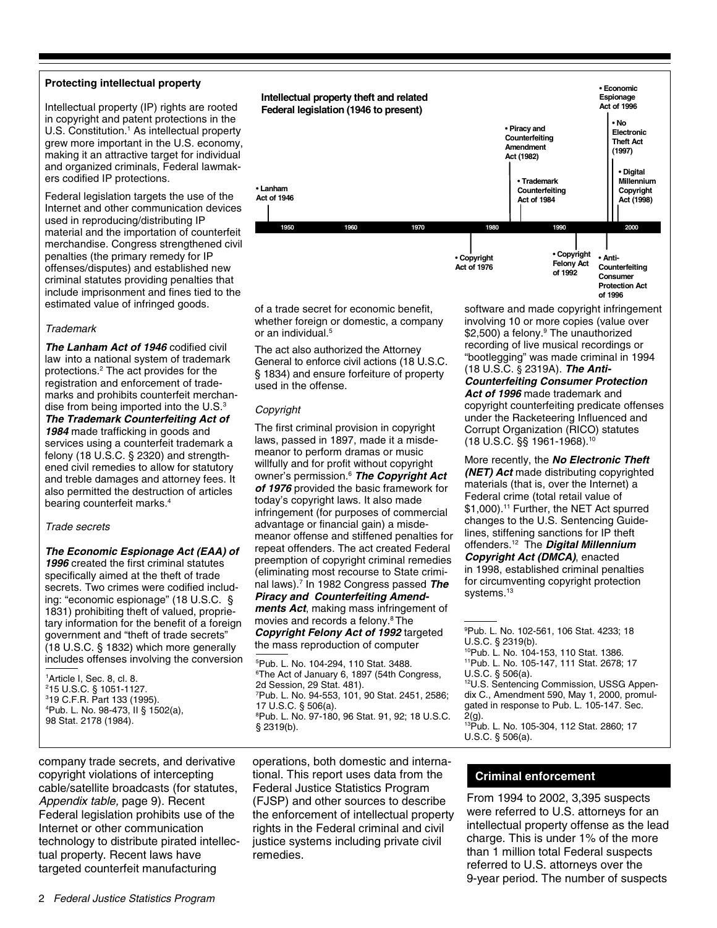#### **Protecting intellectual property**

Intellectual property (IP) rights are rooted in copyright and patent protections in the U.S. Constitution.<sup>1</sup> As intellectual property grew more important in the U.S. economy, making it an attractive target for individual and organized criminals, Federal lawmakers codified IP protections.

Federal legislation targets the use of the Internet and other communication devices used in reproducing/distributing IP material and the importation of counterfeit merchandise. Congress strengthened civil penalties (the primary remedy for IP offenses/disputes) and established new criminal statutes providing penalties that include imprisonment and fines tied to the estimated value of infringed goods.

#### **Trademark**

**The Lanham Act of 1946** codified civil law into a national system of trademark protections.2 The act provides for the registration and enforcement of trademarks and prohibits counterfeit merchandise from being imported into the  $U.S.^3$ **The Trademark Counterfeiting Act of**

**1984** made trafficking in goods and services using a counterfeit trademark a felony (18 U.S.C. § 2320) and strengthened civil remedies to allow for statutory and treble damages and attorney fees. It also permitted the destruction of articles bearing counterfeit marks.4

#### Trade secrets

#### **The Economic Espionage Act (EAA) of**

**1996** created the first criminal statutes specifically aimed at the theft of trade secrets. Two crimes were codified including: "economic espionage" (18 U.S.C. § 1831) prohibiting theft of valued, proprietary information for the benefit of a foreign government and "theft of trade secrets" (18 U.S.C. § 1832) which more generally includes offenses involving the conversion

 Article I, Sec. 8, cl. 8. 15 U.S.C. § 1051-1127. 19 C.F.R. Part 133 (1995). Pub. L. No. 98-473, II § 1502(a), 98 Stat. 2178 (1984).

**Intellectual property theft and related Federal legislation (1946 to present)** • **Economic Espionage Act of 1996** • **Copyright Felony Act**  • **Digital Millennium Copyright Act (1998)** • **No Electronic Theft Act (1997)** • **Anti-**• **Trademark Counterfeiting Act of 1984** • **Lanham Act of 1946** • **Copyright**  • **Piracy and Counterfeiting Amendment Act (1982) 1950 1970 1960 1980 1990 2000**

**Act of 1976**

of a trade secret for economic benefit, whether foreign or domestic, a company or an individual.<sup>5</sup>

The act also authorized the Attorney General to enforce civil actions (18 U.S.C. § 1834) and ensure forfeiture of property used in the offense.

#### Copyright

The first criminal provision in copyright laws, passed in 1897, made it a misdemeanor to perform dramas or music willfully and for profit without copyright owner's permission.6 **The Copyright Act of 1976** provided the basic framework for today's copyright laws. It also made infringement (for purposes of commercial advantage or financial gain) a misdemeanor offense and stiffened penalties for repeat offenders. The act created Federal preemption of copyright criminal remedies (eliminating most recourse to State criminal laws).7 In 1982 Congress passed **The Piracy and Counterfeiting Amendments Act**, making mass infringement of movies and records a felony.<sup>8</sup> The **Copyright Felony Act of 1992** targeted

the mass reproduction of computer

5 Pub. L. No. 104-294, 110 Stat. 3488. 6 The Act of January 6, 1897 (54th Congress, 2d Session, 29 Stat. 481). 7 Pub. L. No. 94-553, 101, 90 Stat. 2451, 2586; 17 U.S.C. § 506(a). 8 Pub. L. No. 97-180, 96 Stat. 91, 92; 18 U.S.C. § 2319(b).

company trade secrets, and derivative copyright violations of intercepting cable/satellite broadcasts (for statutes, Appendix table, page 9). Recent Federal legislation prohibits use of the Internet or other communication technology to distribute pirated intellectual property. Recent laws have targeted counterfeit manufacturing

operations, both domestic and international. This report uses data from the Federal Justice Statistics Program (FJSP) and other sources to describe the enforcement of intellectual property rights in the Federal criminal and civil justice systems including private civil remedies.

software and made copyright infringement involving 10 or more copies (value over \$2,500) a felony.9 The unauthorized recording of live musical recordings or "bootlegging" was made criminal in 1994 (18 U.S.C. § 2319A). **The Anti-**

**of 1992**

**Counterfeiting Consumer Protection Act of 1996**

**Counterfeiting Consumer Protection Act of 1996** made trademark and copyright counterfeiting predicate offenses under the Racketeering Influenced and Corrupt Organization (RICO) statutes (18 U.S.C. §§ 1961-1968).10

More recently, the **No Electronic Theft (NET) Act** made distributing copyrighted materials (that is, over the Internet) a Federal crime (total retail value of \$1,000).11 Further, the NET Act spurred changes to the U.S. Sentencing Guidelines, stiffening sanctions for IP theft offenders.12 The **Digital Millennium Copyright Act (DMCA)**, enacted in 1998, established criminal penalties for circumventing copyright protection systems.<sup>13</sup>

10Pub. L. No. 104-153, 110 Stat. 1386. 11Pub. L. No. 105-147, 111 Stat. 2678; 17

U.S.C. § 506(a).

12U.S. Sentencing Commission, USSG Appendix C., Amendment 590, May 1, 2000, promulgated in response to Pub. L. 105-147. Sec. 2(g).

13Pub. L. No. 105-304, 112 Stat. 2860; 17 U.S.C. § 506(a).

#### **Criminal enforcement**

From 1994 to 2002, 3,395 suspects were referred to U.S. attorneys for an intellectual property offense as the lead charge. This is under 1% of the more than 1 million total Federal suspects referred to U.S. attorneys over the 9-year period. The number of suspects

<sup>9</sup> Pub. L. No. 102-561, 106 Stat. 4233; 18 U.S.C. § 2319(b).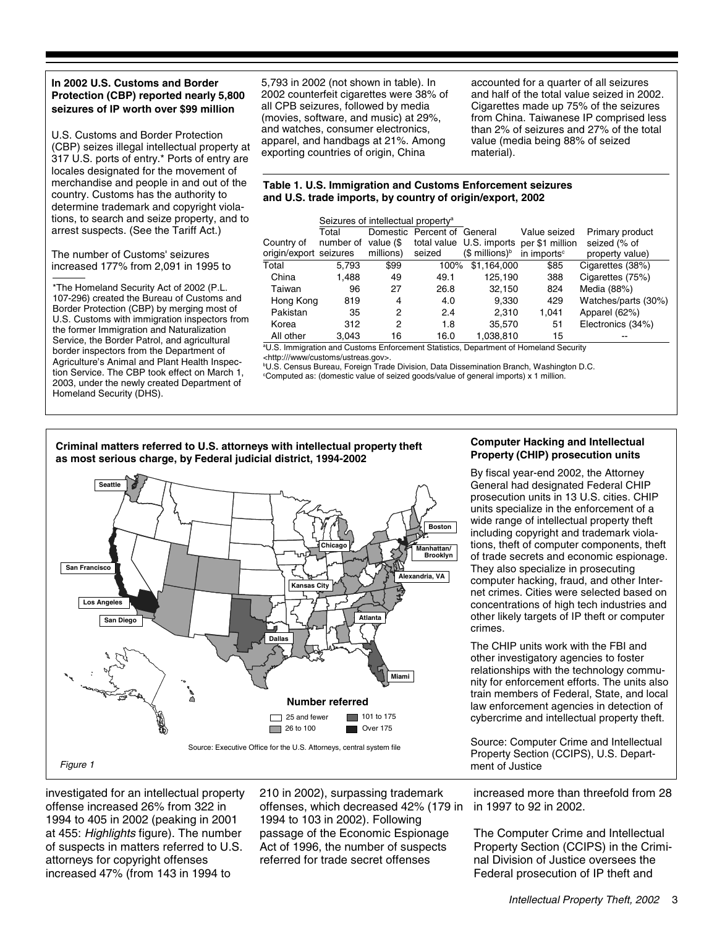#### **In 2002 U.S. Customs and Border Protection (CBP) reported nearly 5,800 seizures of IP worth over \$99 million**

U.S. Customs and Border Protection (CBP) seizes illegal intellectual property at 317 U.S. ports of entry.\* Ports of entry are locales designated for the movement of merchandise and people in and out of the country. Customs has the authority to determine trademark and copyright violations, to search and seize property, and to arrest suspects. (See the Tariff Act.)

The number of Customs' seizures increased 177% from 2,091 in 1995 to

\*The Homeland Security Act of 2002 (P.L. 107-296) created the Bureau of Customs and Border Protection (CBP) by merging most of U.S. Customs with immigration inspectors from the former Immigration and Naturalization Service, the Border Patrol, and agricultural border inspectors from the Department of Agriculture's Animal and Plant Health Inspection Service. The CBP took effect on March 1, 2003, under the newly created Department of Homeland Security (DHS).

5,793 in 2002 (not shown in table). In 2002 counterfeit cigarettes were 38% of all CPB seizures, followed by media (movies, software, and music) at 29%, and watches, consumer electronics, apparel, and handbags at 21%. Among exporting countries of origin, China

accounted for a quarter of all seizures and half of the total value seized in 2002. Cigarettes made up 75% of the seizures from China. Taiwanese IP comprised less than 2% of seizures and 27% of the total value (media being 88% of seized material).

#### **Table 1. U.S. Immigration and Customs Enforcement seizures and U.S. trade imports, by country of origin/export, 2002**

|                        | Seizures of intellectual property <sup>a</sup> |           |                    |                            |                                          |                     |
|------------------------|------------------------------------------------|-----------|--------------------|----------------------------|------------------------------------------|---------------------|
|                        | Total                                          | Domestic  | Percent of General |                            | Value seized                             | Primary product     |
| Country of             | number of                                      | value (\$ |                    |                            | total value U.S. imports per \$1 million | seized (% of        |
| origin/export seizures |                                                | millions) | seized             | (\$ millions) <sup>b</sup> | in imports <sup>c</sup>                  | property value)     |
| Total                  | 5.793                                          | \$99      | 100%               | \$1.164.000                | \$85                                     | Cigarettes (38%)    |
| China                  | 1.488                                          | 49        | 49.1               | 125.190                    | 388                                      | Cigarettes (75%)    |
| Taiwan                 | 96                                             | 27        | 26.8               | 32.150                     | 824                                      | Media (88%)         |
| Hong Kong              | 819                                            | 4         | 4.0                | 9.330                      | 429                                      | Watches/parts (30%) |
| Pakistan               | 35                                             | 2         | 2.4                | 2.310                      | 1.041                                    | Apparel (62%)       |
| Korea                  | 312                                            | 2         | 1.8                | 35,570                     | 51                                       | Electronics (34%)   |
| All other              | 3,043                                          | 16        | 16.0               | 1,038,810                  | 15                                       |                     |

a U.S. Immigration and Customs Enforcement Statistics, Department of Homeland Security <http:///www/customs/ustreas.gov>.

b U.S. Census Bureau, Foreign Trade Division, Data Dissemination Branch, Washington D.C.

c Computed as: (domestic value of seized goods/value of general imports) x 1 million.

#### **Criminal matters referred to U.S. attorneys with intellectual property theft as most serious charge, by Federal judicial district, 1994-2002**



investigated for an intellectual property offense increased 26% from 322 in 1994 to 405 in 2002 (peaking in 2001 at 455: Highlights figure). The number of suspects in matters referred to U.S. attorneys for copyright offenses increased 47% (from 143 in 1994 to

210 in 2002), surpassing trademark offenses, which decreased 42% (179 in 1994 to 103 in 2002). Following passage of the Economic Espionage Act of 1996, the number of suspects referred for trade secret offenses

#### **Computer Hacking and Intellectual Property (CHIP) prosecution units**

By fiscal year-end 2002, the Attorney General had designated Federal CHIP prosecution units in 13 U.S. cities. CHIP units specialize in the enforcement of a wide range of intellectual property theft including copyright and trademark violations, theft of computer components, theft of trade secrets and economic espionage. They also specialize in prosecuting computer hacking, fraud, and other Internet crimes. Cities were selected based on concentrations of high tech industries and other likely targets of IP theft or computer crimes.

The CHIP units work with the FBI and other investigatory agencies to foster relationships with the technology community for enforcement efforts. The units also train members of Federal, State, and local law enforcement agencies in detection of cybercrime and intellectual property theft.

Source: Computer Crime and Intellectual Property Section (CCIPS), U.S. Department of Justice

increased more than threefold from 28 in 1997 to 92 in 2002.

The Computer Crime and Intellectual Property Section (CCIPS) in the Criminal Division of Justice oversees the Federal prosecution of IP theft and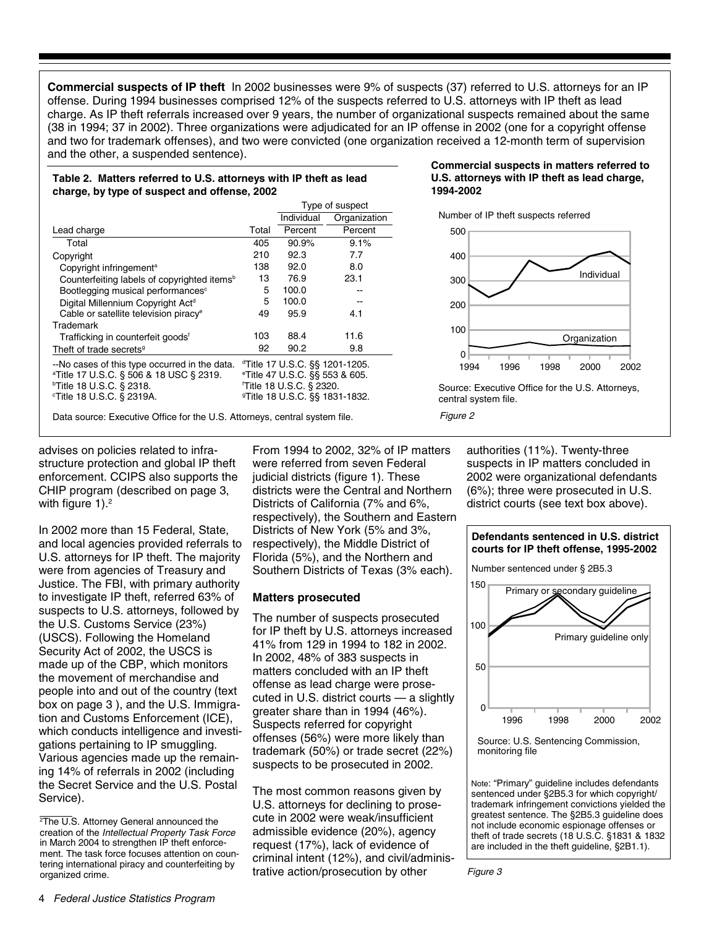**Commercial suspects of IP theft** In 2002 businesses were 9% of suspects (37) referred to U.S. attorneys for an IP offense. During 1994 businesses comprised 12% of the suspects referred to U.S. attorneys with IP theft as lead charge. As IP theft referrals increased over 9 years, the number of organizational suspects remained about the same (38 in 1994; 37 in 2002). Three organizations were adjudicated for an IP offense in 2002 (one for a copyright offense and two for trademark offenses), and two were convicted (one organization received a 12-month term of supervision and the other, a suspended sentence).

#### Type of suspect **Table 2. Matters referred to U.S. attorneys with IP theft as lead charge, by type of suspect and offense, 2002**

|                                                         |       | i ype of suspect                           |              |  |  |
|---------------------------------------------------------|-------|--------------------------------------------|--------------|--|--|
|                                                         |       | Individual                                 | Organization |  |  |
| Lead charge                                             | Total | Percent                                    | Percent      |  |  |
| Total                                                   | 405   | 90.9%                                      | 9.1%         |  |  |
| Copyright                                               | 210   | 92.3                                       | 7.7          |  |  |
| Copyright infringement <sup>a</sup>                     | 138   | 92.0                                       | 8.0          |  |  |
| Counterfeiting labels of copyrighted items <sup>b</sup> | 13    | 76.9                                       | 23.1         |  |  |
| Bootlegging musical performances <sup>c</sup>           | 5     | 100.0                                      | --           |  |  |
| Digital Millennium Copyright Act <sup>d</sup>           | 5     | 100.0                                      |              |  |  |
| Cable or satellite television piracy <sup>e</sup>       | 49    | 95.9                                       | 4.1          |  |  |
| Trademark                                               |       |                                            |              |  |  |
| Trafficking in counterfeit goods <sup>f</sup>           | 103   | 88.4                                       | 11.6         |  |  |
| Theft of trade secrets <sup>9</sup>                     | 92    | 90.2                                       | 9.8          |  |  |
| --No cases of this type occurred in the data.           |       | dTitle 17 U.S.C. §§ 1201-1205.             |              |  |  |
| <sup>a</sup> Title 17 U.S.C. § 506 & 18 USC § 2319.     |       | eTitle 47 U.S.C. §§ 553 & 605.             |              |  |  |
| $\,^{\circ}$ Title 18 U.S.C. § 2318.                    |       | Title 18 U.S.C. § 2320.                    |              |  |  |
| <b>Title 18 U.S.C. § 2319A.</b>                         |       | <sup>9</sup> Title 18 U.S.C. §§ 1831-1832. |              |  |  |
|                                                         |       |                                            |              |  |  |

Data source: Executive Office for the U.S. Attorneys, central system file.

#### advises on policies related to infrastructure protection and global IP theft enforcement. CCIPS also supports the CHIP program (described on page 3, with figure  $1$ ).<sup>2</sup>

In 2002 more than 15 Federal, State, and local agencies provided referrals to U.S. attorneys for IP theft. The majority were from agencies of Treasury and Justice. The FBI, with primary authority to investigate IP theft, referred 63% of suspects to U.S. attorneys, followed by the U.S. Customs Service (23%) (USCS). Following the Homeland Security Act of 2002, the USCS is made up of the CBP, which monitors the movement of merchandise and people into and out of the country (text box on page 3 ), and the U.S. Immigration and Customs Enforcement (ICE), which conducts intelligence and investigations pertaining to IP smuggling. Various agencies made up the remaining 14% of referrals in 2002 (including the Secret Service and the U.S. Postal Service).

From 1994 to 2002, 32% of IP matters were referred from seven Federal judicial districts (figure 1). These districts were the Central and Northern Districts of California (7% and 6%, respectively), the Southern and Eastern Districts of New York (5% and 3%, respectively), the Middle District of Florida (5%), and the Northern and Southern Districts of Texas (3% each).

#### **Matters prosecuted**

The number of suspects prosecuted for IP theft by U.S. attorneys increased 41% from 129 in 1994 to 182 in 2002. In 2002, 48% of 383 suspects in matters concluded with an IP theft offense as lead charge were prosecuted in U.S. district courts — a slightly greater share than in 1994 (46%). Suspects referred for copyright offenses (56%) were more likely than trademark (50%) or trade secret (22%) suspects to be prosecuted in 2002.

The most common reasons given by U.S. attorneys for declining to prosecute in 2002 were weak/insufficient admissible evidence (20%), agency request (17%), lack of evidence of criminal intent (12%), and civil/adminis-

#### **Commercial suspects in matters referred to U.S. attorneys with IP theft as lead charge, 1994-2002**

Number of IP theft suspects referred



Source: Executive Office for the U.S. Attorneys, central system file.

Figure 2

authorities (11%). Twenty-three suspects in IP matters concluded in 2002 were organizational defendants (6%); three were prosecuted in U.S. district courts (see text box above).





Note: "Primary" guideline includes defendants sentenced under §2B5.3 for which copyright/ trademark infringement convictions yielded the greatest sentence. The §2B5.3 guideline does not include economic espionage offenses or theft of trade secrets (18 U.S.C. §1831 & 1832 are included in the theft guideline, §2B1.1).

organized crime. Figure 3 and commencing by trative action/prosecution by other Figure 3 2 The U.S. Attorney General announced the creation of the Intellectual Property Task Force in March 2004 to strengthen IP theft enforcement. The task force focuses attention on countering international piracy and counterfeiting by organized crime.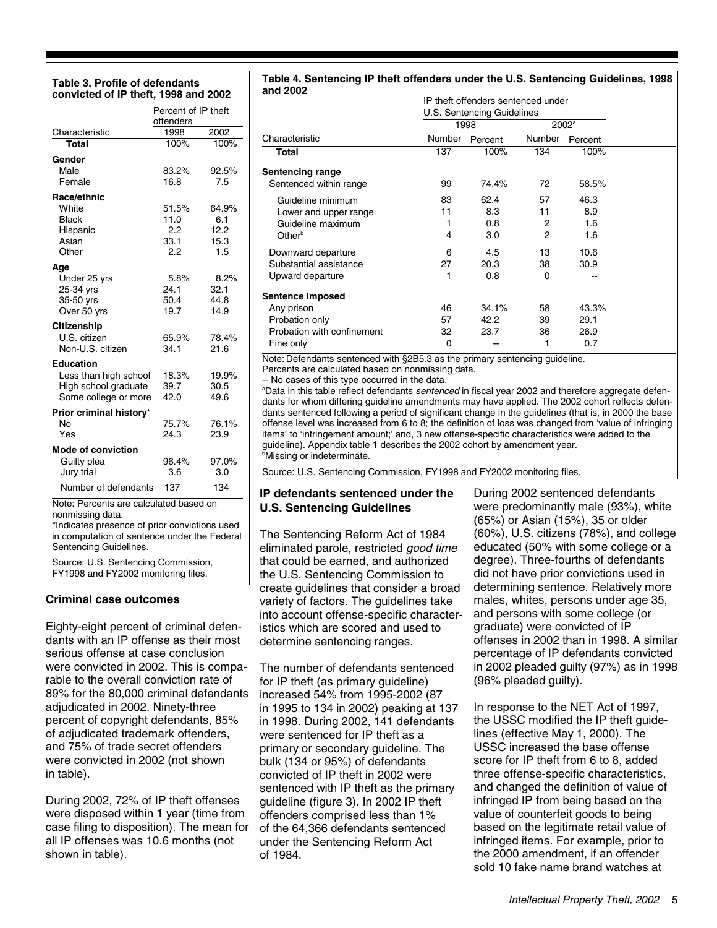#### **Table 3. Profile of defendants convicted of IP theft, 1998 and 2002**

|                                               | Percent of IP theft<br>offenders |       |  |  |  |  |
|-----------------------------------------------|----------------------------------|-------|--|--|--|--|
| Characteristic                                | 1998                             | 2002  |  |  |  |  |
| Total                                         | 100%                             | 100%  |  |  |  |  |
| Gender                                        |                                  |       |  |  |  |  |
| Male                                          | 83.2%                            | 92.5% |  |  |  |  |
| Female                                        | 16.8                             | 7.5   |  |  |  |  |
| Race/ethnic                                   |                                  |       |  |  |  |  |
| White                                         | 51.5%                            | 64.9% |  |  |  |  |
| Black                                         | 11.0                             | 6.1   |  |  |  |  |
| Hispanic                                      | 2.2                              | 12.2  |  |  |  |  |
| Asian                                         | 33.1                             | 15.3  |  |  |  |  |
| Other                                         | 2.2                              | 1.5   |  |  |  |  |
| Age                                           |                                  |       |  |  |  |  |
| Under 25 yrs                                  | 5.8%                             | 8.2%  |  |  |  |  |
| 25-34 yrs                                     | 24.1                             | 32.1  |  |  |  |  |
| 35-50 yrs                                     | 50.4                             | 44.8  |  |  |  |  |
| Over 50 yrs                                   | 19.7                             | 14.9  |  |  |  |  |
| Citizenship                                   |                                  |       |  |  |  |  |
| U.S. citizen                                  | 65.9%                            | 78.4% |  |  |  |  |
| Non-U.S. citizen                              | 34.1                             | 21.6  |  |  |  |  |
| <b>Education</b>                              |                                  |       |  |  |  |  |
| Less than high school                         | 18.3%                            | 19.9% |  |  |  |  |
| High school graduate                          | 39.7                             | 30.5  |  |  |  |  |
| Some college or more                          | 42.0                             | 49.6  |  |  |  |  |
| Prior criminal history*                       |                                  |       |  |  |  |  |
| N٥                                            | 75.7%                            | 76.1% |  |  |  |  |
| Yes                                           | 24.3                             | 23.9  |  |  |  |  |
| <b>Mode of conviction</b>                     |                                  |       |  |  |  |  |
| Guilty plea                                   | 96.4%                            | 97.0% |  |  |  |  |
| Jury trial                                    | 3.6                              | 3.0   |  |  |  |  |
| Number of defendants                          | 137                              | 134   |  |  |  |  |
| Note: Percents are calculated based on        |                                  |       |  |  |  |  |
| nonmissing data.                              |                                  |       |  |  |  |  |
| *Indicates presence of prior convictions used |                                  |       |  |  |  |  |
| in computation of sentence under the Federal  |                                  |       |  |  |  |  |
| Sentencing Guidelines.                        |                                  |       |  |  |  |  |

Source: U.S. Sentencing Commission, FY1998 and FY2002 monitoring files.

#### **Criminal case outcomes**

Eighty-eight percent of criminal defendants with an IP offense as their most serious offense at case conclusion were convicted in 2002. This is comparable to the overall conviction rate of 89% for the 80,000 criminal defendants adjudicated in 2002. Ninety-three percent of copyright defendants, 85% of adjudicated trademark offenders, and 75% of trade secret offenders were convicted in 2002 (not shown in table).

During 2002, 72% of IP theft offenses were disposed within 1 year (time from case filing to disposition). The mean for all IP offenses was 10.6 months (not shown in table).

# **Table 4. Sentencing IP theft offenders under the U.S. Sentencing Guidelines, 1998**

| Number | Percent | Number         | Percent                    |                                                      |
|--------|---------|----------------|----------------------------|------------------------------------------------------|
| 137    | 100%    | 134            | 100%                       |                                                      |
|        |         |                |                            |                                                      |
| 99     | 74.4%   | 72             | 58.5%                      |                                                      |
| 83     | 62.4    | 57             | 46.3                       |                                                      |
| 11     | 8.3     | 11             | 8.9                        |                                                      |
| 1      | 0.8     | $\overline{2}$ | 1.6                        |                                                      |
| 4      | 3.0     | $\overline{c}$ | 1.6                        |                                                      |
| 6      | 4.5     | 13             | 10.6                       |                                                      |
| 27     | 20.3    | 38             | 30.9                       |                                                      |
| 1      | 0.8     | 0              |                            |                                                      |
|        |         |                |                            |                                                      |
| 46     | 34.1%   | 58             | 43.3%                      |                                                      |
| 57     | 42.2    | 39             | 29.1                       |                                                      |
| 32     | 23.7    | 36             | 26.9                       |                                                      |
| 0      |         | 1              | 0.7                        |                                                      |
|        |         | 1998           | U.S. Sentencing Guidelines | IP theft offenders sentenced under<br>$2002^{\circ}$ |

Percents are calculated based on nonmissing data.

-- No cases of this type occurred in the data.

<sup>a</sup>Data in this table reflect defendants *sentenced* in fiscal year 2002 and therefore aggregate defendants for whom differing guideline amendments may have applied. The 2002 cohort reflects defendants sentenced following a period of significant change in the guidelines (that is, in 2000 the base offense level was increased from 6 to 8; the definition of loss was changed from 'value of infringing items' to 'infringement amount;' and, 3 new offense-specific characteristics were added to the guideline). Appendix table 1 describes the 2002 cohort by amendment year. **Missing or indeterminate.** 

Source: U.S. Sentencing Commission, FY1998 and FY2002 monitoring files.

### **IP defendants sentenced under the U.S. Sentencing Guidelines**

The Sentencing Reform Act of 1984 eliminated parole, restricted good time that could be earned, and authorized the U.S. Sentencing Commission to create guidelines that consider a broad variety of factors. The guidelines take into account offense-specific characteristics which are scored and used to determine sentencing ranges.

The number of defendants sentenced for IP theft (as primary guideline) increased 54% from 1995-2002 (87 in 1995 to 134 in 2002) peaking at 137 in 1998. During 2002, 141 defendants were sentenced for IP theft as a primary or secondary guideline. The bulk (134 or 95%) of defendants convicted of IP theft in 2002 were sentenced with IP theft as the primary guideline (figure 3). In 2002 IP theft offenders comprised less than 1% of the 64,366 defendants sentenced under the Sentencing Reform Act of 1984.

During 2002 sentenced defendants were predominantly male (93%), white (65%) or Asian (15%), 35 or older (60%), U.S. citizens (78%), and college educated (50% with some college or a degree). Three-fourths of defendants did not have prior convictions used in determining sentence. Relatively more males, whites, persons under age 35, and persons with some college (or graduate) were convicted of IP offenses in 2002 than in 1998. A similar percentage of IP defendants convicted in 2002 pleaded guilty (97%) as in 1998 (96% pleaded guilty).

In response to the NET Act of 1997, the USSC modified the IP theft guidelines (effective May 1, 2000). The USSC increased the base offense score for IP theft from 6 to 8, added three offense-specific characteristics, and changed the definition of value of infringed IP from being based on the value of counterfeit goods to being based on the legitimate retail value of infringed items. For example, prior to the 2000 amendment, if an offender sold 10 fake name brand watches at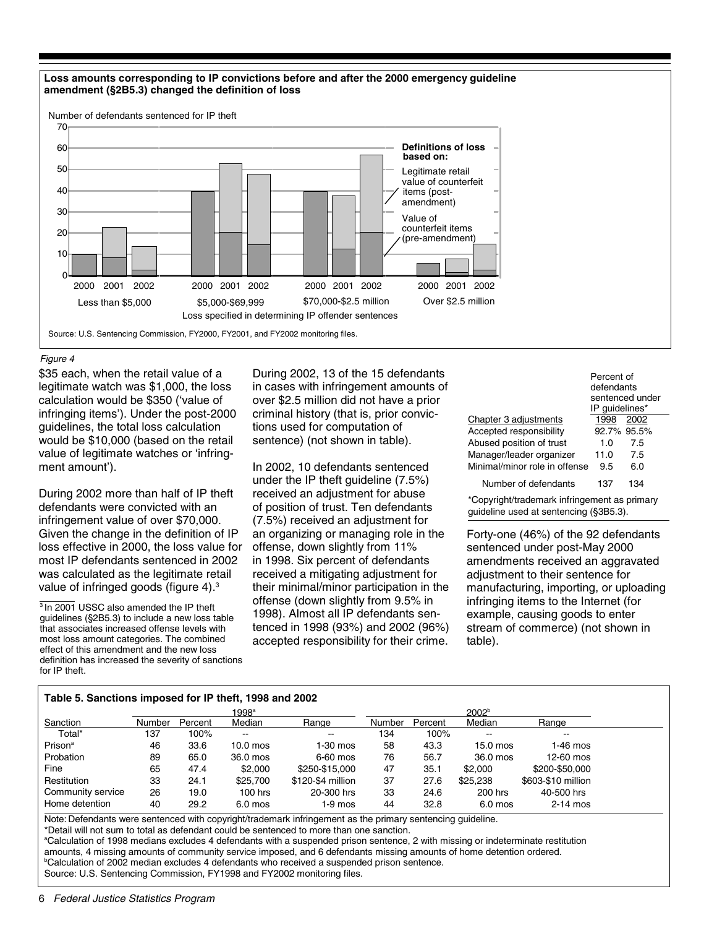

#### Figure 4

\$35 each, when the retail value of a legitimate watch was \$1,000, the loss calculation would be \$350 ('value of infringing items'). Under the post-2000 guidelines, the total loss calculation would be \$10,000 (based on the retail value of legitimate watches or 'infringment amount').

During 2002 more than half of IP theft defendants were convicted with an infringement value of over \$70,000. Given the change in the definition of IP loss effective in 2000, the loss value for most IP defendants sentenced in 2002 was calculated as the legitimate retail value of infringed goods (figure 4).3

 $3$  In 2001 USSC also amended the IP theft guidelines (§2B5.3) to include a new loss table that associates increased offense levels with most loss amount categories. The combined effect of this amendment and the new loss definition has increased the severity of sanctions for IP theft.

During 2002, 13 of the 15 defendants in cases with infringement amounts of over \$2.5 million did not have a prior criminal history (that is, prior convictions used for computation of sentence) (not shown in table).

In 2002, 10 defendants sentenced under the IP theft guideline (7.5%) received an adjustment for abuse of position of trust. Ten defendants (7.5%) received an adjustment for an organizing or managing role in the offense, down slightly from 11% in 1998. Six percent of defendants received a mitigating adjustment for their minimal/minor participation in the offense (down slightly from 9.5% in 1998). Almost all IP defendants sentenced in 1998 (93%) and 2002 (96%) accepted responsibility for their crime.

|                               | Percent of     |                 |  |
|-------------------------------|----------------|-----------------|--|
|                               | defendants     |                 |  |
|                               |                | sentenced under |  |
|                               | IP quidelines* |                 |  |
| Chapter 3 adjustments         | 1998           | 2002            |  |
| Accepted responsibility       |                | 92.7% 95.5%     |  |
| Abused position of trust      | 1.0            | 7.5             |  |
| Manager/leader organizer      | 11.0           | 7.5             |  |
| Minimal/minor role in offense | 9.5            | 6.0             |  |
| Number of defendants          | 137            | 134             |  |

\*Copyright/trademark infringement as primary guideline used at sentencing (§3B5.3).

Forty-one (46%) of the 92 defendants sentenced under post-May 2000 amendments received an aggravated adjustment to their sentence for manufacturing, importing, or uploading infringing items to the Internet (for example, causing goods to enter stream of commerce) (not shown in table).

#### **Table 5. Sanctions imposed for IP theft, 1998 and 2002**

|                     | 1998 <sup>a</sup> |         |                          |                          |               | 2002 <sup>b</sup> |           |                    |  |  |
|---------------------|-------------------|---------|--------------------------|--------------------------|---------------|-------------------|-----------|--------------------|--|--|
| Sanction            | Number            | Percent | Median                   | Range                    | <b>Number</b> | Percent           | Median    | Range              |  |  |
| Total*              | 137               | 100%    | $\overline{\phantom{a}}$ | $\overline{\phantom{a}}$ | 134           | 100%              | $\sim$    | $\sim$             |  |  |
| Prison <sup>a</sup> | 46                | 33.6    | $10.0$ mos               | $1-30$ mos               | 58            | 43.3              | 15.0 mos  | $1-46$ mos         |  |  |
| Probation           | 89                | 65.0    | 36.0 mos                 | 6-60 mos                 | 76            | 56.7              | 36.0 mos  | 12-60 mos          |  |  |
| Fine                | 65                | 47.4    | \$2,000                  | \$250-\$15,000           | 47            | 35.1              | \$2,000   | \$200-\$50,000     |  |  |
| Restitution         | 33                | 24.1    | \$25,700                 | \$120-\$4 million        | 37            | 27.6              | \$25,238  | \$603-\$10 million |  |  |
| Community service   | 26                | 19.0    | $100$ hrs                | 20-300 hrs               | 33            | 24.6              | 200 hrs   | 40-500 hrs         |  |  |
| Home detention      | 40                | 29.2    | $6.0$ mos                | $1-9$ mos                | 44            | 32.8              | $6.0$ mos | $2-14$ mos         |  |  |

Note: Defendants were sentenced with copyright/trademark infringement as the primary sentencing guideline. \*Detail will not sum to total as defendant could be sentenced to more than one sanction.

a Calculation of 1998 medians excludes 4 defendants with a suspended prison sentence, 2 with missing or indeterminate restitution amounts, 4 missing amounts of community service imposed, and 6 defendants missing amounts of home detention ordered. b Calculation of 2002 median excludes 4 defendants who received a suspended prison sentence. Source: U.S. Sentencing Commission, FY1998 and FY2002 monitoring files.

6 Federal Justice Statistics Program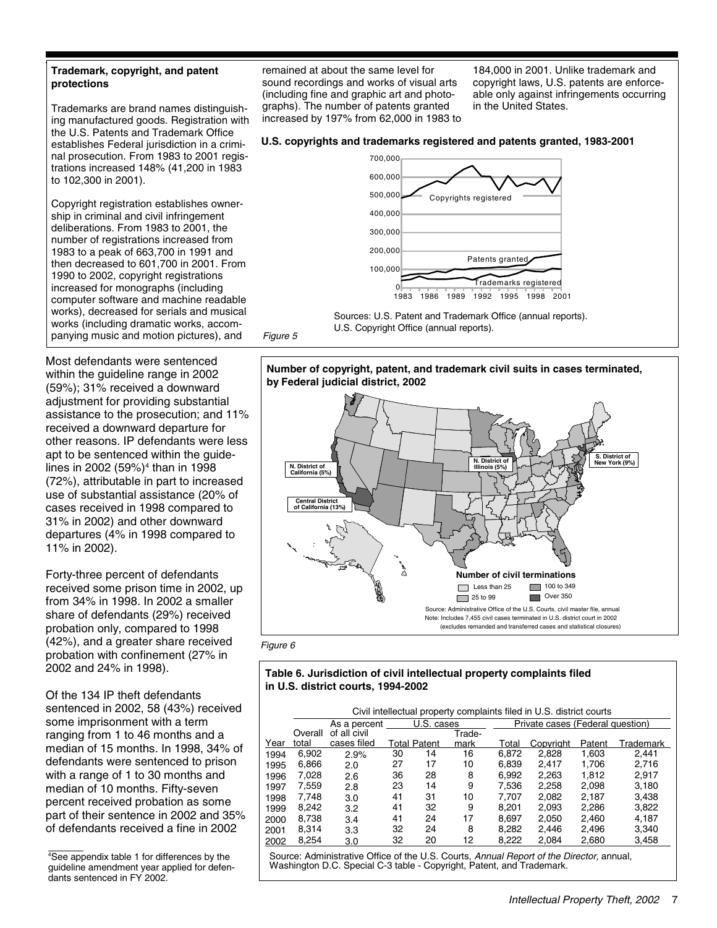#### **Trademark, copyright, and patent protections**

Trademarks are brand names distinguishing manufactured goods. Registration with the U.S. Patents and Trademark Office establishes Federal jurisdiction in a criminal prosecution. From 1983 to 2001 registrations increased 148% (41,200 in 1983 to 102,300 in 2001).

Copyright registration establishes ownership in criminal and civil infringement deliberations. From 1983 to 2001, the number of registrations increased from 1983 to a peak of 663,700 in 1991 and then decreased to 601,700 in 2001. From 1990 to 2002, copyright registrations increased for monographs (including computer software and machine readable works), decreased for serials and musical works (including dramatic works, accompanying music and motion pictures), and

Most defendants were sentenced within the guideline range in 2002 (59%); 31% received a downward adjustment for providing substantial assistance to the prosecution; and 11% received a downward departure for other reasons. IP defendants were less apt to be sentenced within the guidelines in 2002 (59%)<sup>4</sup> than in 1998 (72%), attributable in part to increased use of substantial assistance (20% of cases received in 1998 compared to 31% in 2002) and other downward departures (4% in 1998 compared to 11% in 2002).

Forty-three percent of defendants received some prison time in 2002, up from 34% in 1998. In 2002 a smaller share of defendants (29%) received probation only, compared to 1998 (42%), and a greater share received probation with confinement (27% in 2002 and 24% in 1998).

Of the 134 IP theft defendants sentenced in 2002, 58 (43%) received some imprisonment with a term ranging from 1 to 46 months and a median of 15 months. In 1998, 34% of defendants were sentenced to prison with a range of 1 to 30 months and median of 10 months. Fifty-seven percent received probation as some part of their sentence in 2002 and 35% of defendants received a fine in 2002

remained at about the same level for sound recordings and works of visual arts (including fine and graphic art and photographs). The number of patents granted increased by 197% from 62,000 in 1983 to 184,000 in 2001. Unlike trademark and copyright laws, U.S. patents are enforceable only against infringements occurring in the United States.

#### **U.S. copyrights and trademarks registered and patents granted, 1983-2001**



Sources: U.S. Patent and Trademark Office (annual reports). U.S. Copyright Office (annual reports). Figure 5







#### Figure 6

#### **Table 6. Jurisdiction of civil intellectual property complaints filed in U.S. district courts, 1994-2002**

|      | Civil intellectual property complaints filed in U.S. district courts |              |    |                     |        |       |                                  |        |           |  |  |  |
|------|----------------------------------------------------------------------|--------------|----|---------------------|--------|-------|----------------------------------|--------|-----------|--|--|--|
|      |                                                                      | As a percent |    | U.S. cases          |        |       | Private cases (Federal question) |        |           |  |  |  |
|      | Overall                                                              | of all civil |    |                     | Trade- |       |                                  |        |           |  |  |  |
| Year | total                                                                | cases filed  |    | <b>Total Patent</b> | mark   | Total | Copyright                        | Patent | Trademark |  |  |  |
| 1994 | 6,902                                                                | 2.9%         | 30 | 14                  | 16     | 6,872 | 2,828                            | 1,603  | 2.441     |  |  |  |
| 1995 | 6,866                                                                | 2.0          | 27 | 17                  | 10     | 6,839 | 2.417                            | 1,706  | 2.716     |  |  |  |
| 1996 | 7,028                                                                | 2.6          | 36 | 28                  | 8      | 6.992 | 2,263                            | 1.812  | 2.917     |  |  |  |
| 1997 | 7,559                                                                | 2.8          | 23 | 14                  | 9      | 7.536 | 2,258                            | 2.098  | 3,180     |  |  |  |
| 1998 | 7,748                                                                | 3.0          | 41 | 31                  | 10     | 7.707 | 2.082                            | 2.187  | 3,438     |  |  |  |
| 1999 | 8,242                                                                | 3.2          | 41 | 32                  | 9      | 8,201 | 2,093                            | 2,286  | 3,822     |  |  |  |
| 2000 | 8,738                                                                | 3.4          | 41 | 24                  | 17     | 8.697 | 2,050                            | 2.460  | 4.187     |  |  |  |
| 2001 | 8,314                                                                | 3.3          | 32 | 24                  | 8      | 8,282 | 2,446                            | 2,496  | 3,340     |  |  |  |
| 2002 | 8,254                                                                | 3.0          | 32 | 20                  | 12     | 8,222 | 2,084                            | 2,680  | 3,458     |  |  |  |

Source: Administrative Office of the U.S. Courts, Annual Report of the Director, annual, Washington D.C. Special C-3 table - Copyright, Patent, and Trademark.

<sup>4</sup> See appendix table 1 for differences by the guideline amendment year applied for defendants sentenced in FY 2002.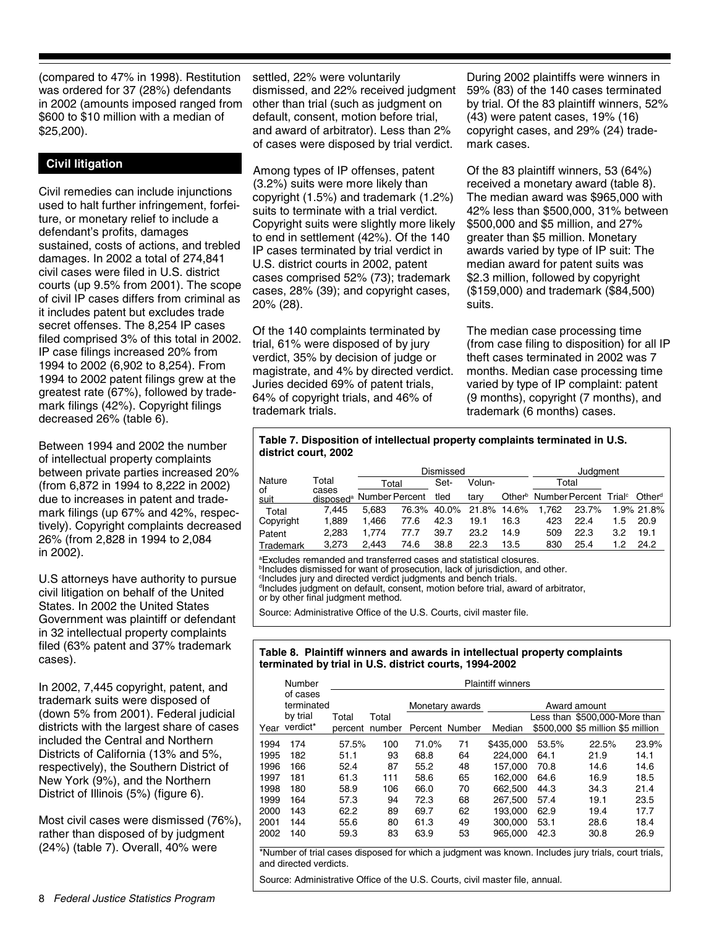(compared to 47% in 1998). Restitution was ordered for 37 (28%) defendants in 2002 (amounts imposed ranged from \$600 to \$10 million with a median of \$25,200).

## **Civil litigation**

Civil remedies can include injunctions used to halt further infringement, forfeiture, or monetary relief to include a defendant's profits, damages sustained, costs of actions, and trebled damages. In 2002 a total of 274,841 civil cases were filed in U.S. district courts (up 9.5% from 2001). The scope of civil IP cases differs from criminal as it includes patent but excludes trade secret offenses. The 8,254 IP cases filed comprised 3% of this total in 2002. IP case filings increased 20% from 1994 to 2002 (6,902 to 8,254). From 1994 to 2002 patent filings grew at the greatest rate (67%), followed by trademark filings (42%). Copyright filings decreased 26% (table 6).

Between 1994 and 2002 the number of intellectual property complaints between private parties increased 20% (from 6,872 in 1994 to 8,222 in 2002) due to increases in patent and trademark filings (up 67% and 42%, respectively). Copyright complaints decreased 26% (from 2,828 in 1994 to 2,084 in 2002).

U.S attorneys have authority to pursue civil litigation on behalf of the United States. In 2002 the United States Government was plaintiff or defendant in 32 intellectual property complaints filed (63% patent and 37% trademark cases).

In 2002, 7,445 copyright, patent, and trademark suits were disposed of (down 5% from 2001). Federal judicial districts with the largest share of cases included the Central and Northern Districts of California (13% and 5%, respectively), the Southern District of New York (9%), and the Northern District of Illinois (5%) (figure 6).

Most civil cases were dismissed (76%), rather than disposed of by judgment (24%) (table 7). Overall, 40% were

settled, 22% were voluntarily dismissed, and 22% received judgment other than trial (such as judgment on default, consent, motion before trial, and award of arbitrator). Less than 2% of cases were disposed by trial verdict.

Among types of IP offenses, patent (3.2%) suits were more likely than copyright (1.5%) and trademark (1.2%) suits to terminate with a trial verdict. Copyright suits were slightly more likely to end in settlement (42%). Of the 140 IP cases terminated by trial verdict in U.S. district courts in 2002, patent cases comprised 52% (73); trademark cases, 28% (39); and copyright cases, 20% (28).

Of the 140 complaints terminated by trial, 61% were disposed of by jury verdict, 35% by decision of judge or magistrate, and 4% by directed verdict. Juries decided 69% of patent trials, 64% of copyright trials, and 46% of trademark trials.

During 2002 plaintiffs were winners in 59% (83) of the 140 cases terminated by trial. Of the 83 plaintiff winners, 52% (43) were patent cases, 19% (16) copyright cases, and 29% (24) trademark cases.

Of the 83 plaintiff winners, 53 (64%) received a monetary award (table 8). The median award was \$965,000 with 42% less than \$500,000, 31% between \$500,000 and \$5 million, and 27% greater than \$5 million. Monetary awards varied by type of IP suit: The median award for patent suits was \$2.3 million, followed by copyright (\$159,000) and trademark (\$84,500) suits.

The median case processing time (from case filing to disposition) for all IP theft cases terminated in 2002 was 7 months. Median case processing time varied by type of IP complaint: patent (9 months), copyright (7 months), and trademark (6 months) cases.

#### **Table 7. Disposition of intellectual property complaints terminated in U.S. district court, 2002**

|            |                                               |       | Dismissed |      |                         |      |                                                                         |       | Judgment |            |  |  |
|------------|-----------------------------------------------|-------|-----------|------|-------------------------|------|-------------------------------------------------------------------------|-------|----------|------------|--|--|
| Nature     | Total                                         | Total |           | Set- | Volun-                  |      |                                                                         | Total |          |            |  |  |
| οf<br>suit | cases<br>disposed <sup>a</sup> Number Percent |       |           | tled | tary                    |      | Other <sup>b</sup> Number Percent Trial <sup>c</sup> Other <sup>d</sup> |       |          |            |  |  |
| Total      | 7.445                                         | 5.683 |           |      | 76.3% 40.0% 21.8% 14.6% |      | 1.762                                                                   | 23.7% |          | 1.9% 21.8% |  |  |
| Copyright  | 1.889                                         | 1.466 | 77.6      | 42.3 | 19.1                    | 16.3 | 423                                                                     | 22.4  | 1.5      | 20.9       |  |  |
| Patent     | 2.283                                         | 1.774 | 77.7      | 39.7 | 23.2                    | 14.9 | 509                                                                     | 22.3  | 3.2      | 19.1       |  |  |
| Trademark  | 3.273                                         | 2.443 | 74.6      | 38.8 | 22.3                    | 13.5 | 830                                                                     | 25.4  | 1.2      | 24.2       |  |  |

a Excludes remanded and transferred cases and statistical closures. <sup>b</sup>Includes dismissed for want of prosecution, lack of jurisdiction, and other. c Includes jury and directed verdict judgments and bench trials.

d Includes judgment on default, consent, motion before trial, award of arbitrator,

or by other final judgment method.

Source: Administrative Office of the U.S. Courts, civil master file.

#### **Table 8. Plaintiff winners and awards in intellectual property complaints terminated by trial in U.S. district courts, 1994-2002**

|      | Number                                         | <b>Plaintiff winners</b> |        |       |                 |           |       |                                               |       |  |  |
|------|------------------------------------------------|--------------------------|--------|-------|-----------------|-----------|-------|-----------------------------------------------|-------|--|--|
|      | of cases<br>terminated<br>by trial<br>verdict* | Total                    | Total  |       | Monetary awards |           |       | Award amount<br>Less than \$500,000-More than |       |  |  |
| Year |                                                | percent                  | number |       | Percent Number  | Median    |       | \$500,000 \$5 million \$5 million             |       |  |  |
| 1994 | 174                                            | 57.5%                    | 100    | 71.0% | 71              | \$435,000 | 53.5% | 22.5%                                         | 23.9% |  |  |
| 1995 | 182                                            | 51.1                     | 93     | 68.8  | 64              | 224.000   | 64.1  | 21.9                                          | 14.1  |  |  |
| 1996 | 166                                            | 52.4                     | 87     | 55.2  | 48              | 157.000   | 70.8  | 14.6                                          | 14.6  |  |  |
| 1997 | 181                                            | 61.3                     | 111    | 58.6  | 65              | 162.000   | 64.6  | 16.9                                          | 18.5  |  |  |
| 1998 | 180                                            | 58.9                     | 106    | 66.0  | 70              | 662,500   | 44.3  | 34.3                                          | 21.4  |  |  |
| 1999 | 164                                            | 57.3                     | 94     | 72.3  | 68              | 267,500   | 57.4  | 19.1                                          | 23.5  |  |  |
| 2000 | 143                                            | 62.2                     | 89     | 69.7  | 62              | 193.000   | 62.9  | 19.4                                          | 17.7  |  |  |
| 2001 | 144                                            | 55.6                     | 80     | 61.3  | 49              | 300,000   | 53.1  | 28.6                                          | 18.4  |  |  |
| 2002 | 140                                            | 59.3                     | 83     | 63.9  | 53              | 965,000   | 42.3  | 30.8                                          | 26.9  |  |  |

\*Number of trial cases disposed for which a judgment was known. Includes jury trials, court trials, and directed verdicts.

Source: Administrative Office of the U.S. Courts, civil master file, annual.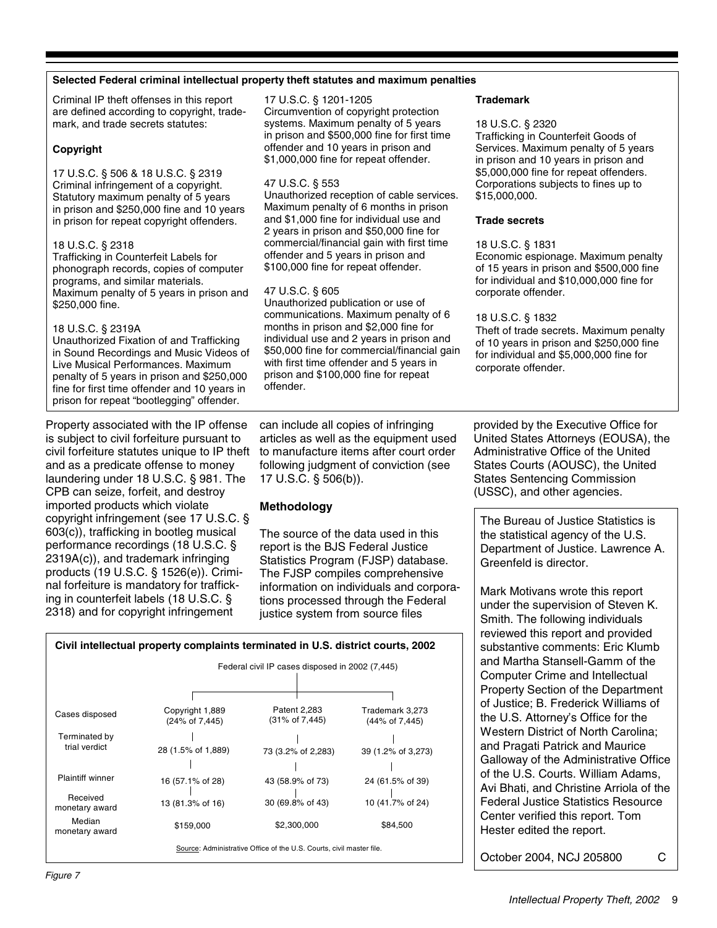#### **Selected Federal criminal intellectual property theft statutes and maximum penalties**

Criminal IP theft offenses in this report are defined according to copyright, trademark, and trade secrets statutes:

#### **Copyright**

17 U.S.C. § 506 & 18 U.S.C. § 2319 Criminal infringement of a copyright. Statutory maximum penalty of 5 years in prison and \$250,000 fine and 10 years in prison for repeat copyright offenders.

#### 18 U.S.C. § 2318

Trafficking in Counterfeit Labels for phonograph records, copies of computer programs, and similar materials. Maximum penalty of 5 years in prison and \$250,000 fine.

#### 18 U.S.C. § 2319A

Unauthorized Fixation of and Trafficking in Sound Recordings and Music Videos of Live Musical Performances. Maximum penalty of 5 years in prison and \$250,000 fine for first time offender and 10 years in prison for repeat "bootlegging" offender.

Property associated with the IP offense is subject to civil forfeiture pursuant to civil forfeiture statutes unique to IP theft and as a predicate offense to money laundering under 18 U.S.C. § 981. The CPB can seize, forfeit, and destroy imported products which violate copyright infringement (see 17 U.S.C. § 603(c)), trafficking in bootleg musical performance recordings (18 U.S.C. § 2319A(c)), and trademark infringing products (19 U.S.C. § 1526(e)). Criminal forfeiture is mandatory for trafficking in counterfeit labels (18 U.S.C. § 2318) and for copyright infringement

17 U.S.C. § 1201-1205 Circumvention of copyright protection systems. Maximum penalty of 5 years in prison and \$500,000 fine for first time offender and 10 years in prison and \$1,000,000 fine for repeat offender.

#### 47 U.S.C. § 553

Unauthorized reception of cable services. Maximum penalty of 6 months in prison and \$1,000 fine for individual use and 2 years in prison and \$50,000 fine for commercial/financial gain with first time offender and 5 years in prison and \$100,000 fine for repeat offender.

#### 47 U.S.C. § 605

Unauthorized publication or use of communications. Maximum penalty of 6 months in prison and \$2,000 fine for individual use and 2 years in prison and \$50,000 fine for commercial/financial gain with first time offender and 5 years in prison and \$100,000 fine for repeat offender.

can include all copies of infringing articles as well as the equipment used to manufacture items after court order following judgment of conviction (see 17 U.S.C. § 506(b)).

# **Methodology**

The source of the data used in this report is the BJS Federal Justice Statistics Program (FJSP) database. The FJSP compiles comprehensive information on individuals and corporations processed through the Federal justice system from source files

|                                | Civil intellectual property complaints terminated in U.S. district courts, 2002 |                                                                      |                                   |
|--------------------------------|---------------------------------------------------------------------------------|----------------------------------------------------------------------|-----------------------------------|
|                                |                                                                                 | Federal civil IP cases disposed in 2002 (7,445)                      |                                   |
|                                |                                                                                 |                                                                      |                                   |
| Cases disposed                 | Copyright 1,889<br>(24% of 7,445)                                               | Patent 2,283<br>(31% of 7,445)                                       | Trademark 3,273<br>(44% of 7,445) |
| Terminated by<br>trial verdict | 28 (1.5% of 1,889)                                                              | 73 (3.2% of 2,283)                                                   | 39 (1.2% of 3,273)                |
| <b>Plaintiff winner</b>        | 16 (57.1% of 28)                                                                | 43 (58.9% of 73)                                                     | 24 (61.5% of 39)                  |
| Received<br>monetary award     | 13 (81.3% of 16)                                                                | 30 (69.8% of 43)                                                     | 10 (41.7% of 24)                  |
| Median<br>monetary award       | \$159,000                                                                       | \$2,300,000                                                          | \$84,500                          |
|                                |                                                                                 | Source: Administrative Office of the U.S. Courts, civil master file. |                                   |

**Trademark**

#### 18 U.S.C. § 2320

Trafficking in Counterfeit Goods of Services. Maximum penalty of 5 years in prison and 10 years in prison and \$5,000,000 fine for repeat offenders. Corporations subjects to fines up to \$15,000,000.

#### **Trade secrets**

#### 18 U.S.C. § 1831

Economic espionage. Maximum penalty of 15 years in prison and \$500,000 fine for individual and \$10,000,000 fine for corporate offender.

#### 18 U.S.C. § 1832

Theft of trade secrets. Maximum penalty of 10 years in prison and \$250,000 fine for individual and \$5,000,000 fine for corporate offender.

provided by the Executive Office for United States Attorneys (EOUSA), the Administrative Office of the United States Courts (AOUSC), the United States Sentencing Commission (USSC), and other agencies.

The Bureau of Justice Statistics is the statistical agency of the U.S. Department of Justice. Lawrence A. Greenfeld is director.

Mark Motivans wrote this report under the supervision of Steven K. Smith. The following individuals reviewed this report and provided substantive comments: Eric Klumb and Martha Stansell-Gamm of the Computer Crime and Intellectual Property Section of the Department of Justice; B. Frederick Williams of the U.S. Attorney's Office for the Western District of North Carolina; and Pragati Patrick and Maurice Galloway of the Administrative Office of the U.S. Courts. William Adams, Avi Bhati, and Christine Arriola of the Federal Justice Statistics Resource Center verified this report. Tom Hester edited the report.

October 2004, NCJ 205800 C